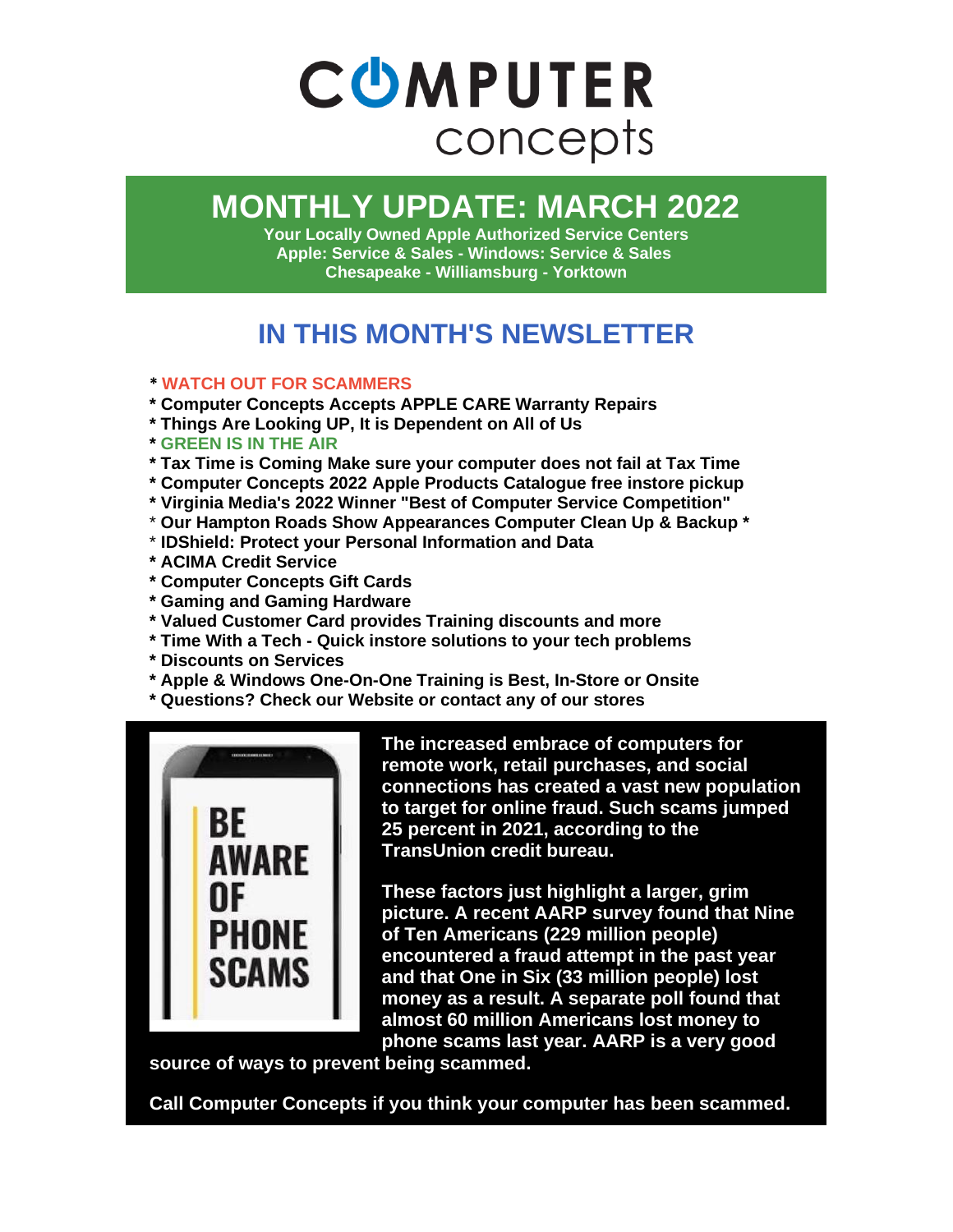

# **MONTHLY UPDATE: MARCH 2022**

**Your Locally Owned Apple Authorized Service Centers Apple: Service & Sales - Windows: Service & Sales Chesapeake - Williamsburg - Yorktown**

### **IN THIS MONTH'S NEWSLETTER**

#### **\* WATCH OUT FOR SCAMMERS**

- **\* Computer Concepts Accepts APPLE CARE Warranty Repairs**
- **\* Things Are Looking UP, It is Dependent on All of Us**
- **\* GREEN IS IN THE AIR**
- **\* Tax Time is Coming Make sure your computer does not fail at Tax Time**
- **\* Computer Concepts 2022 Apple Products Catalogue free instore pickup**
- **\* Virginia Media's 2022 Winner "Best of Computer Service Competition"**
- \* **Our Hampton Roads Show Appearances Computer Clean Up & Backup \***
- \* **IDShield: Protect your Personal Information and Data**
- **\* ACIMA Credit Service**
- **\* Computer Concepts Gift Cards**
- **\* Gaming and Gaming Hardware**
- **\* Valued Customer Card provides Training discounts and more**
- **\* Time With a Tech - Quick instore solutions to your tech problems**
- **\* Discounts on Services**
- **\* Apple & Windows One-On-One Training is Best, In-Store or Onsite**
- **\* Questions? Check our Website or contact any of our stores**



**The increased embrace of computers for remote work, retail purchases, and social connections has created a vast new population to target for online fraud. Such scams jumped 25 percent in 2021, according to the TransUnion credit bureau.**

**These factors just highlight a larger, grim picture. A recent AARP survey found that Nine of Ten Americans (229 million people) encountered a fraud attempt in the past year and that One in Six (33 million people) lost money as a result. A separate poll found that almost 60 million Americans lost money to phone scams last year. AARP is a very good** 

**source of ways to prevent being scammed.**

**Call Computer Concepts if you think your computer has been scammed.**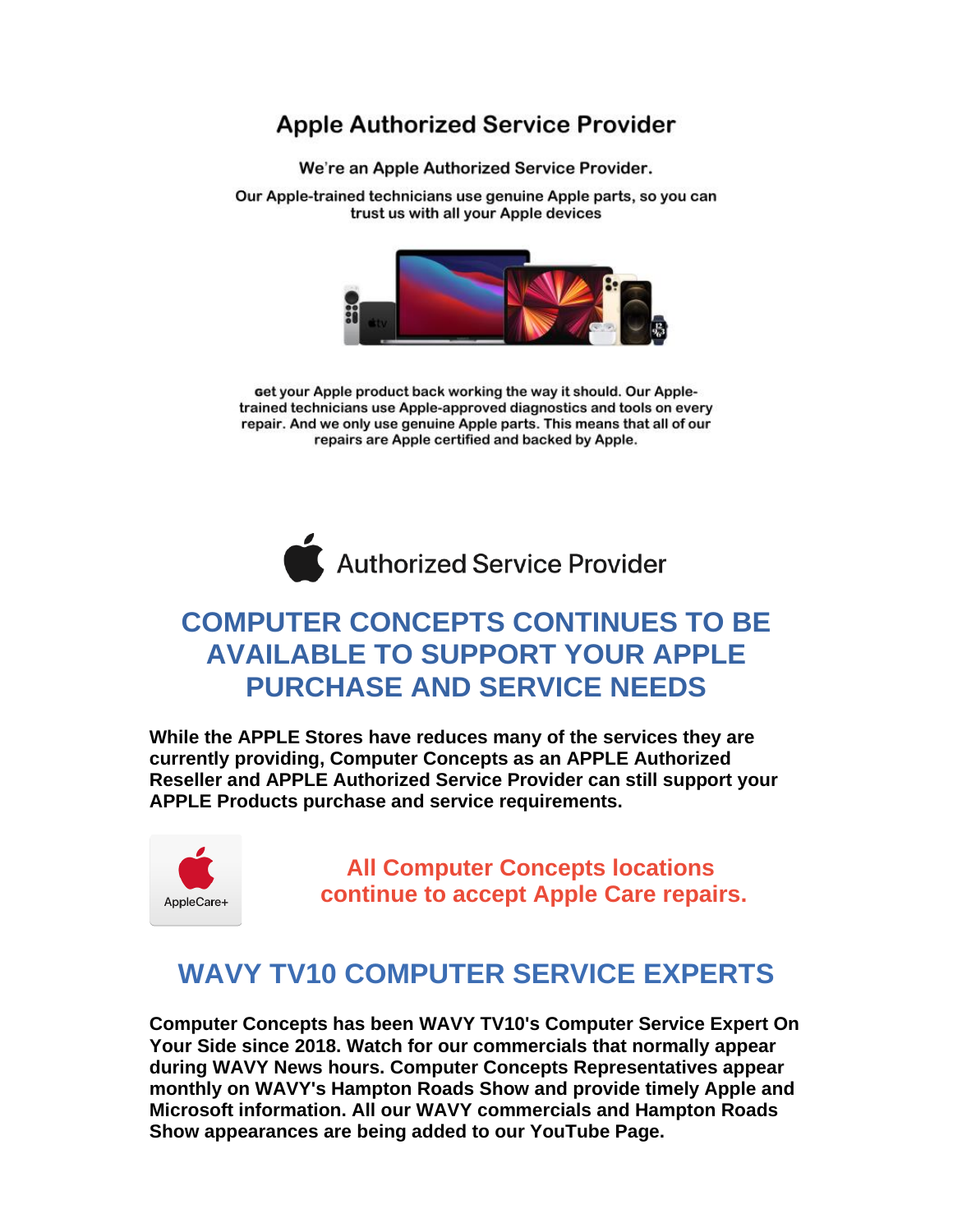#### **Apple Authorized Service Provider**

We're an Apple Authorized Service Provider.

Our Apple-trained technicians use genuine Apple parts, so you can trust us with all your Apple devices



get your Apple product back working the way it should. Our Appletrained technicians use Apple-approved diagnostics and tools on every repair. And we only use genuine Apple parts. This means that all of our repairs are Apple certified and backed by Apple.



#### **COMPUTER CONCEPTS CONTINUES TO BE AVAILABLE TO SUPPORT YOUR APPLE PURCHASE AND SERVICE NEEDS**

**While the APPLE Stores have reduces many of the services they are currently providing, Computer Concepts as an APPLE Authorized Reseller and APPLE Authorized Service Provider can still support your APPLE Products purchase and service requirements.**



**All Computer Concepts locations continue to accept Apple Care repairs.**

#### **WAVY TV10 COMPUTER SERVICE EXPERTS**

**Computer Concepts has been WAVY TV10's Computer Service Expert On Your Side since 2018. Watch for our commercials that normally appear during WAVY News hours. Computer Concepts Representatives appear monthly on WAVY's Hampton Roads Show and provide timely Apple and Microsoft information. All our WAVY commercials and Hampton Roads Show appearances are being added to our YouTube Page.**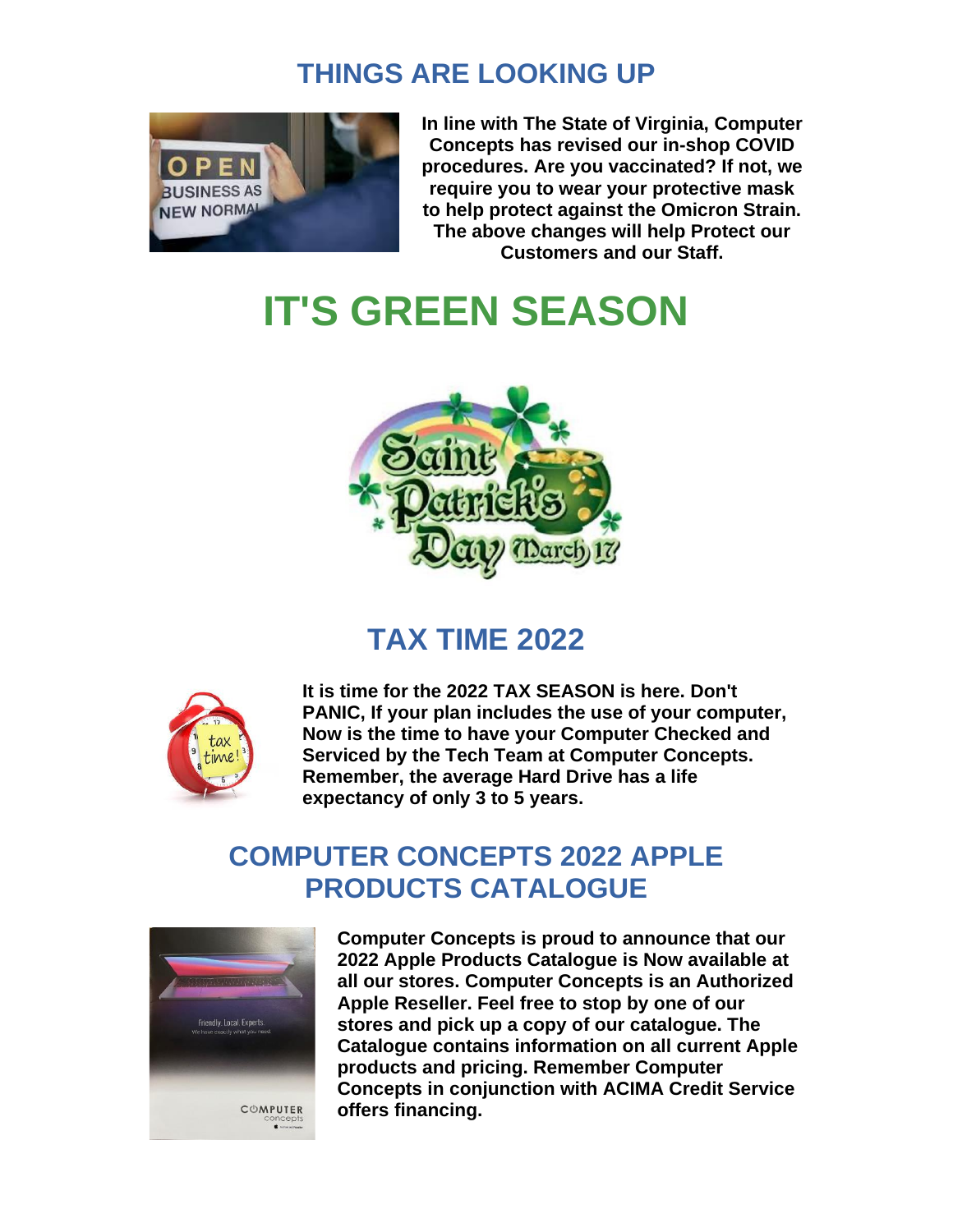#### **THINGS ARE LOOKING UP**



**In line with The State of Virginia, Computer Concepts has revised our in-shop COVID procedures. Are you vaccinated? If not, we require you to wear your protective mask to help protect against the Omicron Strain. The above changes will help Protect our Customers and our Staff.**

# **IT'S GREEN SEASON**



# **TAX TIME 2022**



**It is time for the 2022 TAX SEASON is here. Don't PANIC, If your plan includes the use of your computer, Now is the time to have your Computer Checked and Serviced by the Tech Team at Computer Concepts. Remember, the average Hard Drive has a life expectancy of only 3 to 5 years.**

#### **COMPUTER CONCEPTS 2022 APPLE PRODUCTS CATALOGUE**



**Computer Concepts is proud to announce that our 2022 Apple Products Catalogue is Now available at all our stores. Computer Concepts is an Authorized Apple Reseller. Feel free to stop by one of our stores and pick up a copy of our catalogue. The Catalogue contains information on all current Apple products and pricing. Remember Computer Concepts in conjunction with ACIMA Credit Service offers financing.**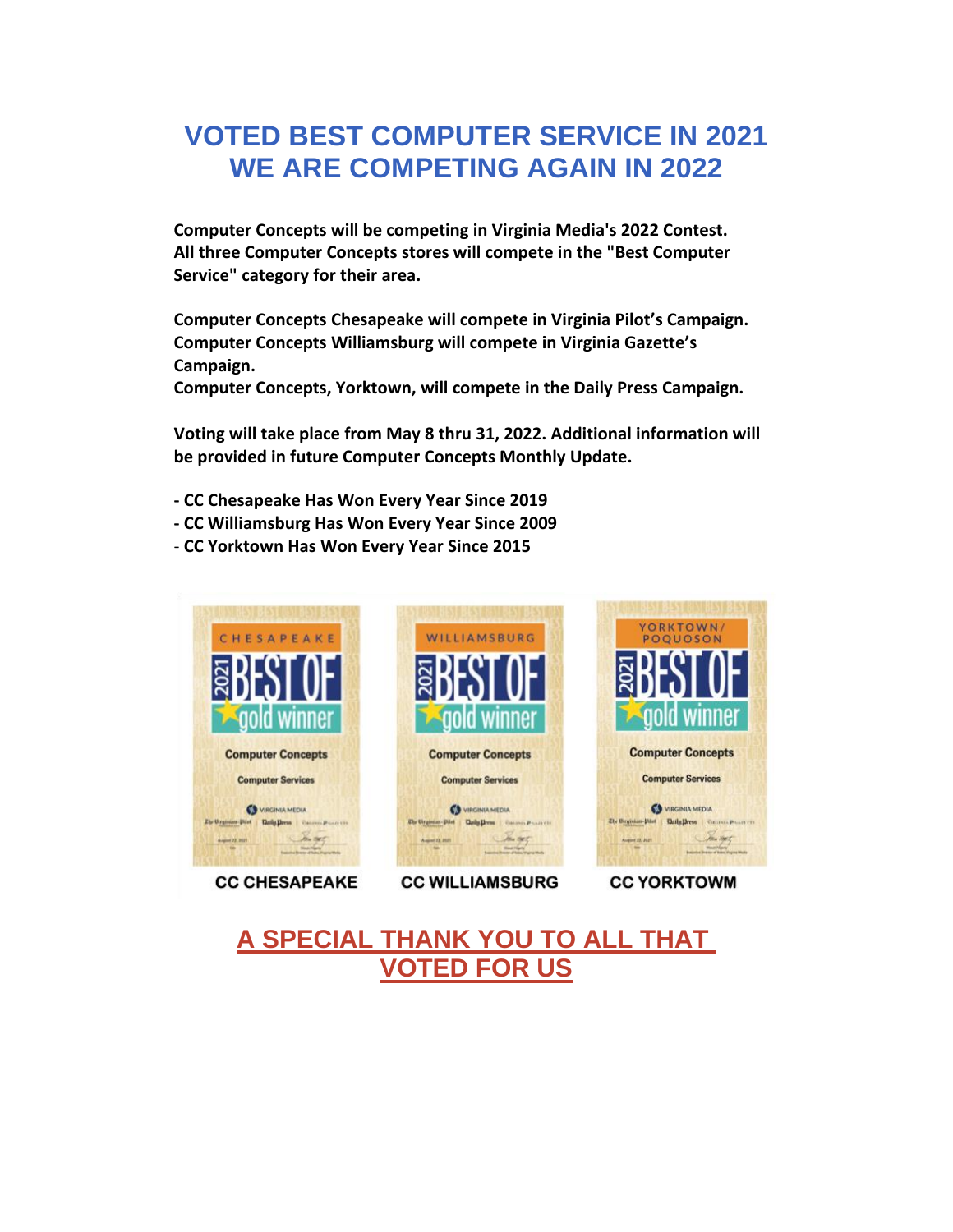#### **VOTED BEST COMPUTER SERVICE IN 2021 WE ARE COMPETING AGAIN IN 2022**

**Computer Concepts will be competing in Virginia Media's 2022 Contest. All three Computer Concepts stores will compete in the "Best Computer Service" category for their area.**

**Computer Concepts Chesapeake will compete in Virginia Pilot's Campaign. Computer Concepts Williamsburg will compete in Virginia Gazette's Campaign.**

**Computer Concepts, Yorktown, will compete in the Daily Press Campaign.**

**Voting will take place from May 8 thru 31, 2022. Additional information will be provided in future Computer Concepts Monthly Update.**

- **- CC Chesapeake Has Won Every Year Since 2019**
- **- CC Williamsburg Has Won Every Year Since 2009**
- **CC Yorktown Has Won Every Year Since 2015**



**CC CHESAPEAKE** 

**CC WILLIAMSBURG** 

**CC YORKTOWM** 

#### **A SPECIAL THANK YOU TO ALL THAT VOTED FOR US**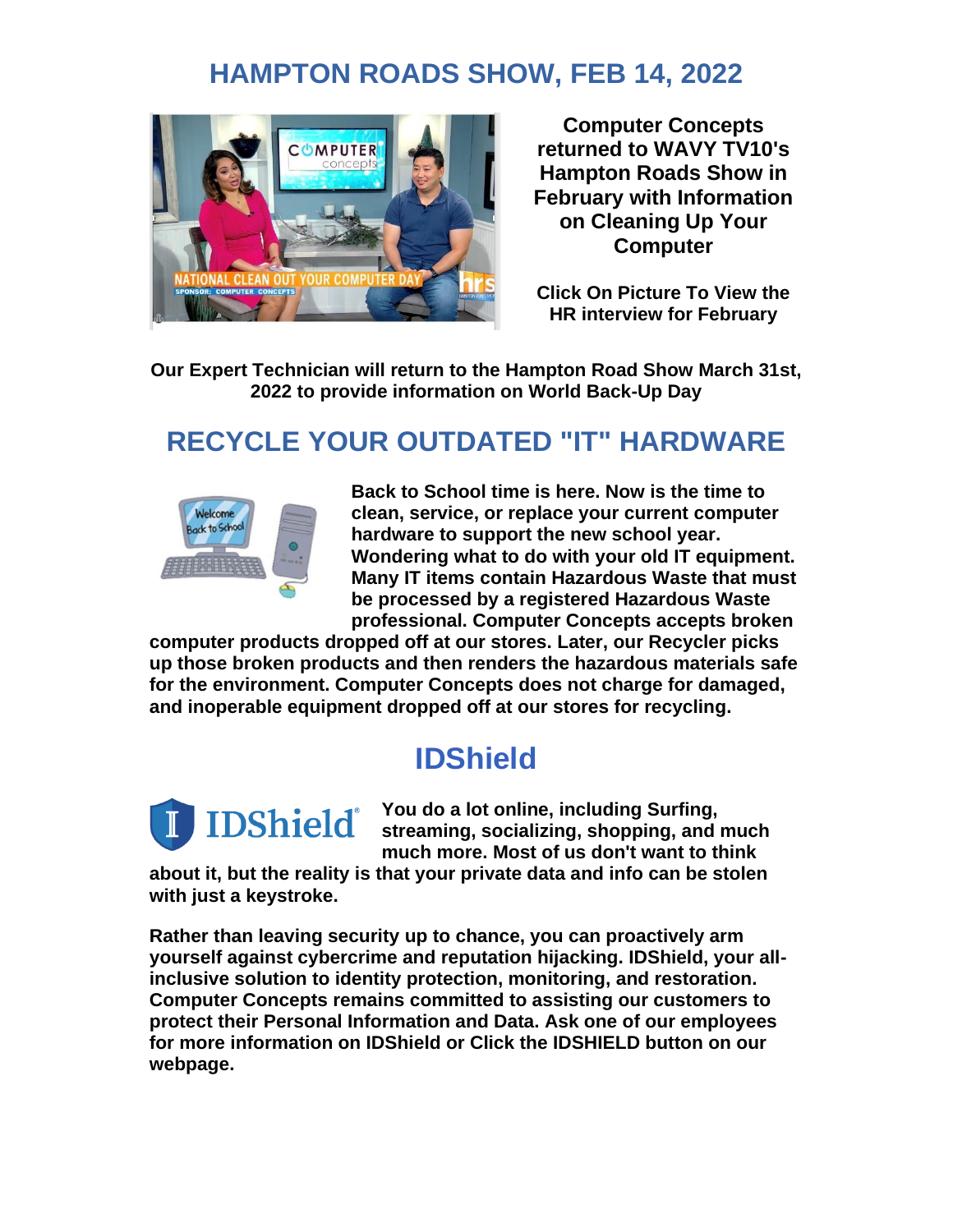### **HAMPTON ROADS SHOW, FEB 14, 2022**



**Computer Concepts returned to WAVY TV10's Hampton Roads Show in February with Information on Cleaning Up Your Computer**

**Click On Picture To View the HR interview for February**

**Our Expert Technician will return to the Hampton Road Show March 31st, 2022 to provide information on World Back-Up Day**

# **RECYCLE YOUR OUTDATED "IT" HARDWARE**



**Back to School time is here. Now is the time to clean, service, or replace your current computer hardware to support the new school year. Wondering what to do with your old IT equipment. Many IT items contain Hazardous Waste that must be processed by a registered Hazardous Waste professional. Computer Concepts accepts broken** 

**computer products dropped off at our stores. Later, our Recycler picks up those broken products and then renders the hazardous materials safe for the environment. Computer Concepts does not charge for damaged, and inoperable equipment dropped off at our stores for recycling.**

# **IDShield**



**You do a lot online, including Surfing, streaming, socializing, shopping, and much much more. Most of us don't want to think** 

**about it, but the reality is that your private data and info can be stolen with just a keystroke.**

**Rather than leaving security up to chance, you can proactively arm yourself against cybercrime and reputation hijacking. IDShield, your allinclusive solution to identity protection, monitoring, and restoration. Computer Concepts remains committed to assisting our customers to protect their Personal Information and Data. Ask one of our employees for more information on IDShield or Click the IDSHIELD button on our webpage.**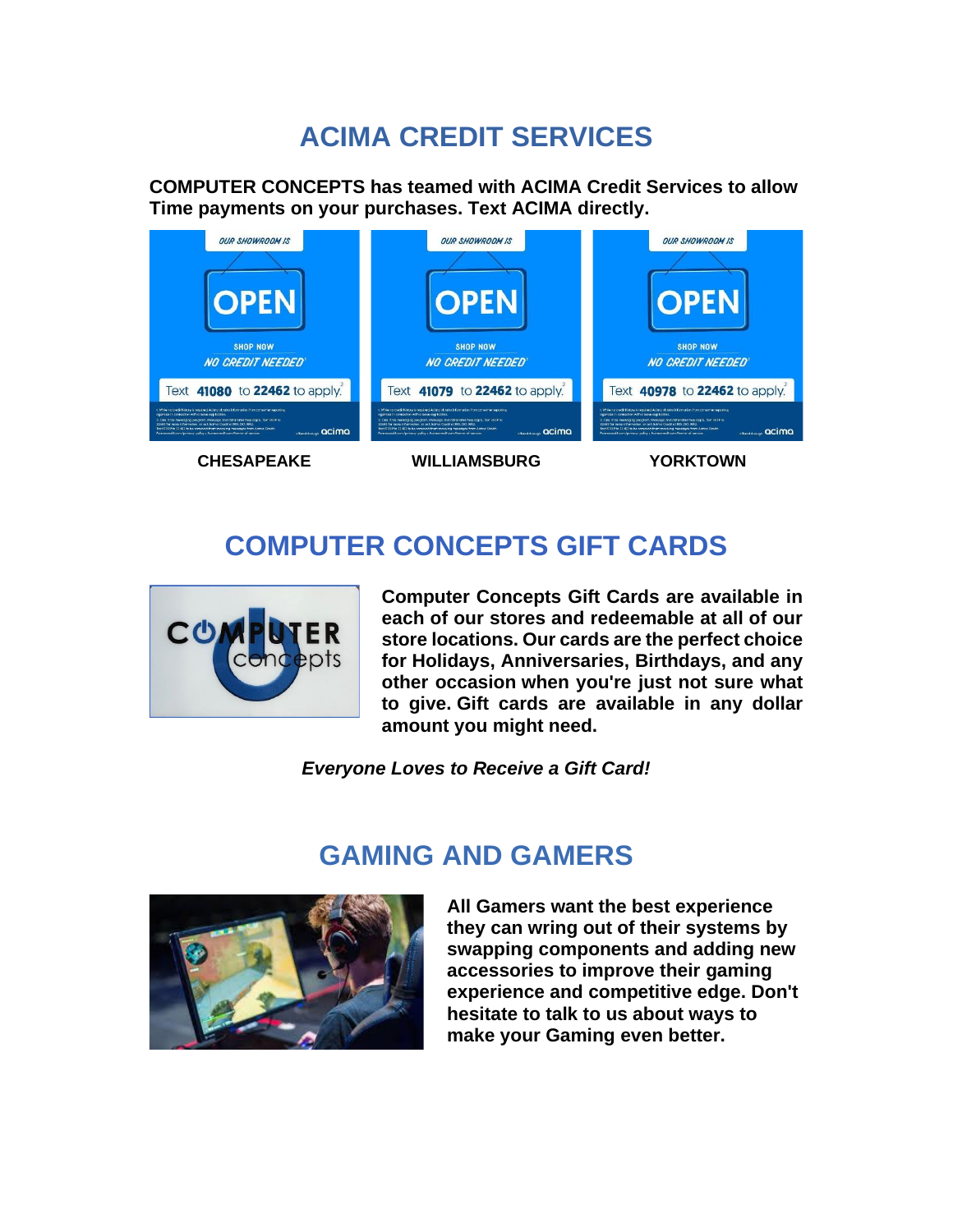# **ACIMA CREDIT SERVICES**

**COMPUTER CONCEPTS has teamed with ACIMA Credit Services to allow Time payments on your purchases. Text ACIMA directly.**



**CHESAPEAKE WILLIAMSBURG YORKTOWN**

# **COMPUTER CONCEPTS GIFT CARDS**



**Computer Concepts Gift Cards are available in each of our stores and redeemable at all of our store locations. Our cards are the perfect choice for Holidays, Anniversaries, Birthdays, and any other occasion when you're just not sure what to give. Gift cards are available in any dollar amount you might need.**

*Everyone Loves to Receive a Gift Card!*



# **GAMING AND GAMERS**

**All Gamers want the best experience they can wring out of their systems by swapping components and adding new accessories to improve their gaming experience and competitive edge. Don't hesitate to talk to us about ways to make your Gaming even better.**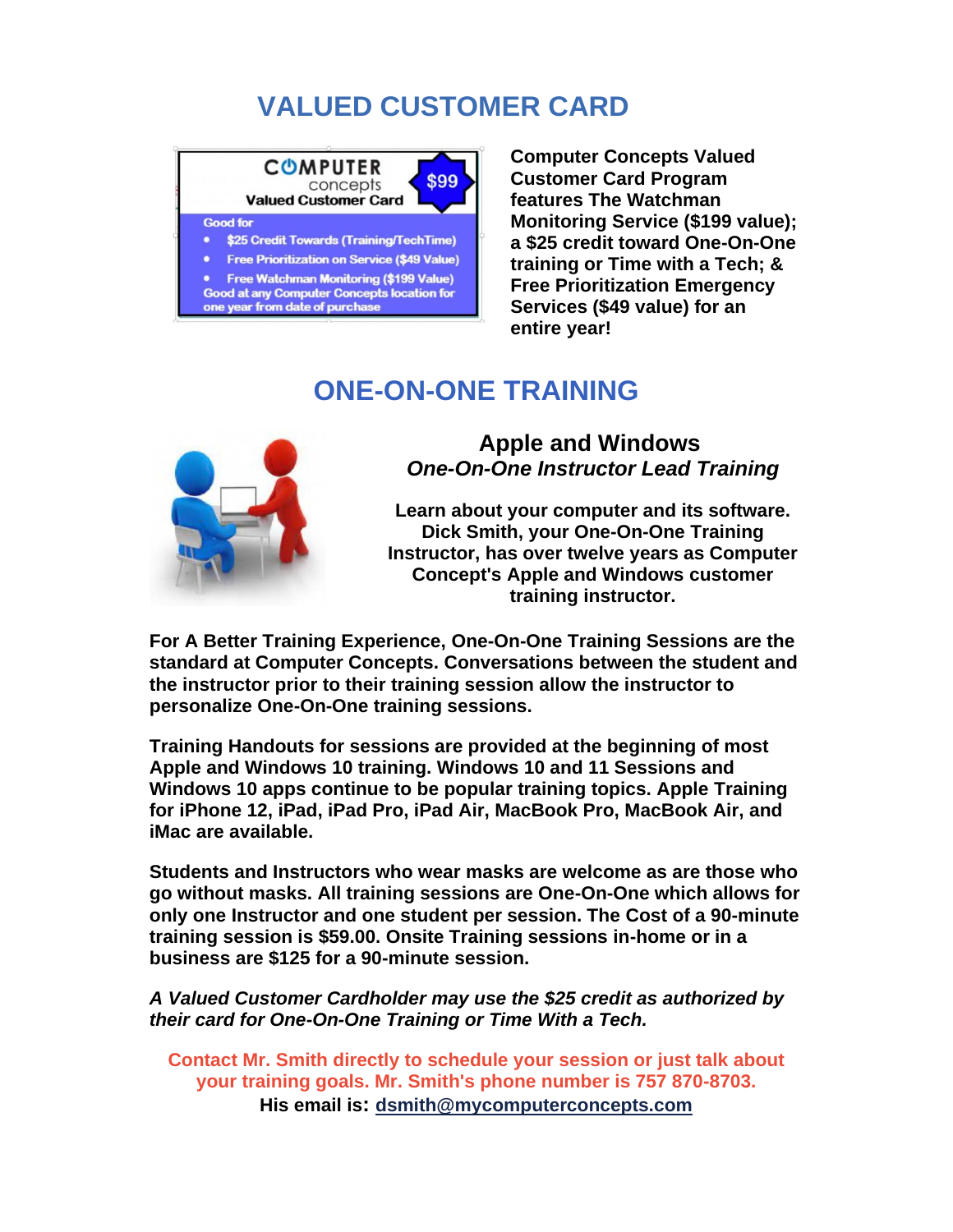# **VALUED CUSTOMER CARD**

#### **COMPUTER** \$99 concepts **Valued Customer Card Good for** \$25 Credit Towards (Training/TechTime)  $\bullet$ **Free Prioritization on Service (\$49 Value) Free Watchman Monitoring (\$199 Value) Good at any Computer Concepts location for** one year from date of purchase

**Computer Concepts Valued Customer Card Program features The Watchman Monitoring Service (\$199 value); a \$25 credit toward One-On-One training or Time with a Tech; & Free Prioritization Emergency Services (\$49 value) for an entire year!**

#### **ONE-ON-ONE TRAINING**



**Apple and Windows** *One-On-One Instructor Lead Training*

**Learn about your computer and its software. Dick Smith, your One-On-One Training Instructor, has over twelve years as Computer Concept's Apple and Windows customer training instructor.**

**For A Better Training Experience, One-On-One Training Sessions are the standard at Computer Concepts. Conversations between the student and the instructor prior to their training session allow the instructor to personalize One-On-One training sessions.**

**Training Handouts for sessions are provided at the beginning of most Apple and Windows 10 training. Windows 10 and 11 Sessions and Windows 10 apps continue to be popular training topics. Apple Training for iPhone 12, iPad, iPad Pro, iPad Air, MacBook Pro, MacBook Air, and iMac are available.**

**Students and Instructors who wear masks are welcome as are those who go without masks. All training sessions are One-On-One which allows for only one Instructor and one student per session. The Cost of a 90-minute training session is \$59.00. Onsite Training sessions in-home or in a business are \$125 for a 90-minute session.**

*A Valued Customer Cardholder may use the \$25 credit as authorized by their card for One-On-One Training or Time With a Tech.*

**Contact Mr. Smith directly to schedule your session or just talk about your training goals. Mr. Smith's phone number is 757 870-8703. His email is: [dsmith@mycomputerconcepts.com](mailto:dsmith@mycomputerconcepts.com)**